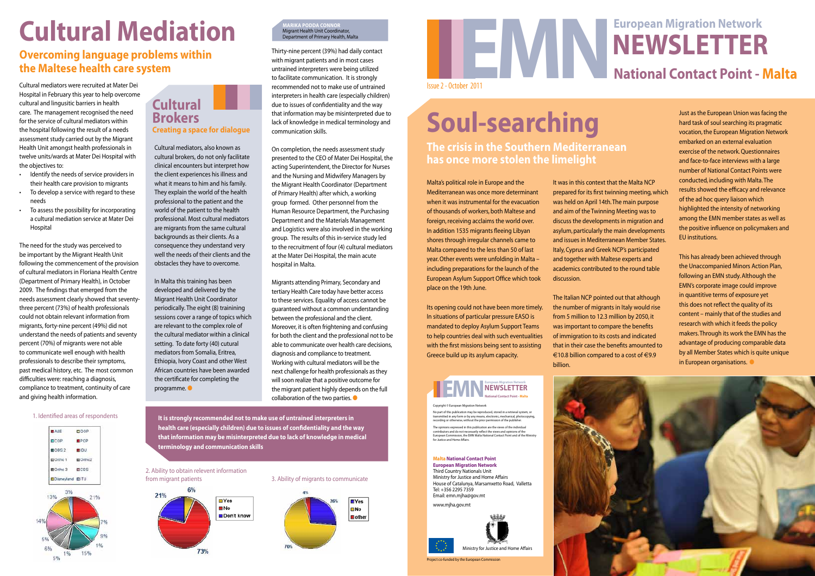Project co-funded by the European Commission

Ministry for Justice and Home Affairs

### Copyright © European Migration Network

No part of this publication may be reproduced, stored in a retrieval system, or<br>transmitted in any form or by any means, electronic, mechanical, photocopying,<br>recording or otherwise, without the prior permission of the pub The opinions expressed in this publication are the views of the individual<br>contributors and do not necessarily reflect the views and opinions of the<br>European Commission, the EMN Malta National Contact Point and of the Mini

## **European Migration Network<br>
NEWSLETTER<br>
National Contact Point - Malta** Issue 2 - October 2011 **European Migration Network Newsletter**

### **Malta National Contact Point European Migration Network**

Third Country Nationals Unit Ministry for Justice and Home Affairs House of Catalunya, Marsamxetto Road, Valletta Tel: +356 2295 7359 Email: emn.mjha@gov.mt www.mjha.gov.mt

Cultural mediators were recruited at Mater Dei Hospital in February this year to help overcome cultural and lingusitic barriers in health care. The management recognised the need for the service of cultural mediators within the hospital following the result of a needs assessment study carried out by the Migrant Health Unit amongst health professionals in twelve units/wards at Mater Dei Hospital with the objectives to:

- • Identify the needs of service providers in their health care provision to migrants
- To develop a service with regard to these needs
- To assess the possibility for incorporating a cultural mediation service at Mater Dei Hospital

Migrants attending Primary, Secondary and tertiary Health Care today have better access to these services. Equality of access cannot be guaranteed without a common understanding between the professional and the client. Moreover, it is often frightening and confusing for both the client and the professional not to be able to communicate over health care decisions, diagnosis and compliance to treatment. Working with cultural mediators will be the next challenge for health professionals as they will soon realize that a positive outcome for the migrant patient highly depends on the full collaboration of the two parties.  $\bullet$ 

The need for the study was perceived to be important by the Migrant Health Unit following the commencement of the provision of cultural mediators in Floriana Health Centre (Department of Primary Health), in October 2009. The findings that emerged from the needs assessment clearly showed that seventythree percent (73%) of health professionals could not obtain relevant information from migrants, forty-nine percent (49%) did not understand the needs of patients and seventy percent (70%) of migrants were not able to communicate well enough with health professionals to describe their symptoms, past medical history, etc. The most common difficulties were: reaching a diagnosis, compliance to treatment, continuity of care and giving health information.

# **Cultural Mediation**

## **Overcoming language problems within the Maltese health care system**

In Malta this training has been developed and delivered by the Migrant Health Unit Coordinator periodically. The eight (8) trainining sessions cover a range of topics which are relevant to the complex role of the cultural mediator within a clinical setting. To date forty (40) cutural mediators from Somalia, Eritrea, Ethiopia, Ivory Coast and other West African countries have been awarded the certificate for completing the  $programme.$ 

Thirty-nine percent (39%) had daily contact with migrant patients and in most cases untrained interpreters were being utilized to facilitate communication. It is strongly recommended not to make use of untrained interpreters in health care (especially children) due to issues of confidentiality and the way that information may be misinterpreted due to lack of knowledge in medical terminology and communication skills.

On completion, the needs assessment study presented to the CEO of Mater Dei Hospital, the acting Superintendent, the Director for Nurses and the Nursing and Midwifery Managers by the Migrant Health Coordinator (Department of Primary Health) after which, a working group formed. Other personnel from the Human Resource Department, the Purchasing Department and the Materials Management and Logistics were also involved in the working group. The results of this in-service study led to the recruitment of four (4) cultural mediators at the Mater Dei Hospital, the main acute hospital in Malta.

### 1. Identified areas of respondents



### 3. Ability of migrants to communicate



2. Ability to obtain relevent information from migrant patients



**It is strongly recommended not to make use of untrained interpreters in health care (especially children) due to issues of confidentiality and the way that information may be misinterpreted due to lack of knowledge in medical terminology and communication skills**

**Marika Podda Connor**  Migrant Health Unit Coordinator, Department of Primary Health, Malta

Cultural mediators, also known as cultural brokers, do not only facilitate clinical encounters but interpret how the client experiences his illness and what it means to him and his family. They explain the world of the health professional to the patient and the world of the patient to the health professional. Most cultural mediators are migrants from the same cultural backgrounds as their clients. As a consequence they understand very well the needs of their clients and the obstacles they have to overcome.

### **Cultural Brokers Creating a space for dialogue**

Malta's political role in Europe and the Mediterranean was once more determinant when it was instrumental for the evacuation of thousands of workers, both Maltese and foreign, receiving acclaims the world over. In addition 1535 migrants fleeing Libyan shores through irregular channels came to Malta compared to the less than 50 of last year. Other events were unfolding in Malta – including preparations for the launch of the European Asylum Support Office which took place on the 19th June.

Its opening could not have been more timely. In situations of particular pressure EASO is mandated to deploy Asylum Support Teams to help countries deal with such eventualities with the first missions being sent to assisting Greece build up its asylum capacity.

## **EMN NEWSLETTER**<br> **RADIO NEWSLETTER**

It was in this context that the Malta NCP prepared for its first twinning meeting, which was held on April 14th. The main purpose and aim of the Twinning Meeting was to discuss the developments in migration and asylum, particularly the main developments and issues in Mediterranean Member States. Italy, Cyprus and Greek NCP's participated and together with Maltese experts and academics contributed to the round table

discussion.

The Italian NCP pointed out that although the number of migrants in Italy would rise from 5 million to 12.3 million by 2050, it

Just as the European Union was facing the hard task of soul searching its pragmatic vocation, the European Migration Network embarked on an external evaluation exercise of the network. Questionnaires and face-to-face interviews with a large number of National Contact Points were conducted, including with Malta. The results showed the efficacy and relevance of the ad hoc query liaison which highlighted the intensity of networking among the EMN member states as well as the positive influence on policymakers and EU institutions.



This has already been achieved through the Unaccompanied Minors Action Plan, following an EMN study. Although the EMN's corporate image could improve in quantitive terms of exposure yet this does not reflect the quality of its content – mainly that of the studies and research with which it feeds the policy

# **Soul-searching**

**The crisis in the Southern Mediterranean has once more stolen the limelight**